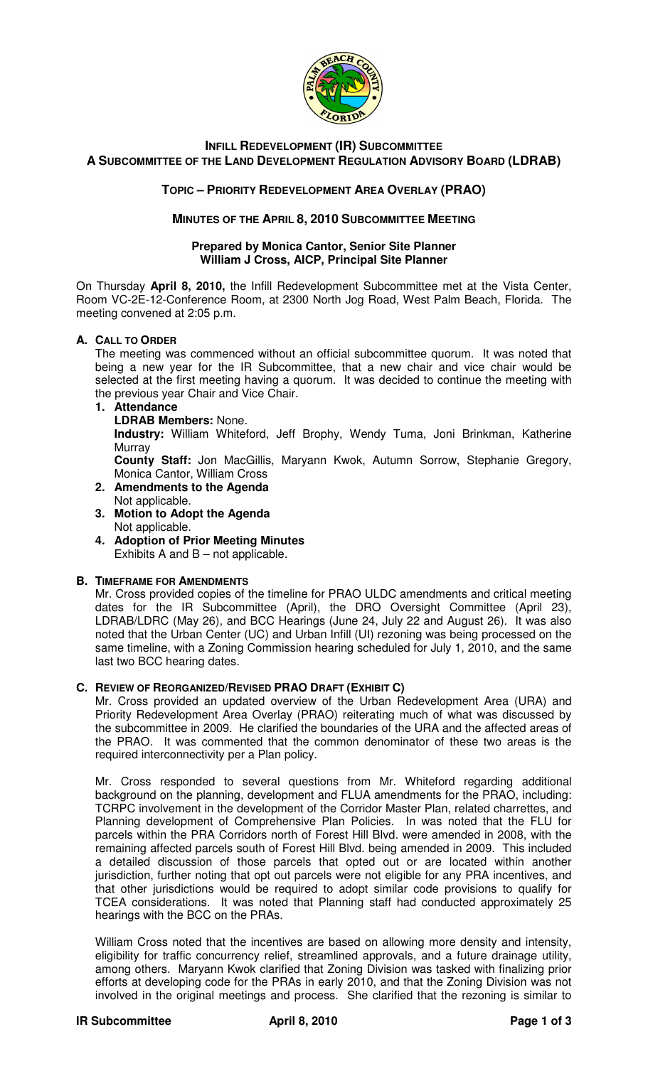

# **INFILL REDEVELOPMENT (IR) SUBCOMMITTEE A SUBCOMMITTEE OF THE LAND DEVELOPMENT REGULATION ADVISORY BOARD (LDRAB)**

## **TOPIC – PRIORITY REDEVELOPMENT AREA OVERLAY (PRAO)**

### **MINUTES OF THE APRIL 8, 2010 SUBCOMMITTEE MEETING**

#### **Prepared by Monica Cantor, Senior Site Planner William J Cross, AICP, Principal Site Planner**

On Thursday **April 8, 2010,** the Infill Redevelopment Subcommittee met at the Vista Center, Room VC-2E-12-Conference Room, at 2300 North Jog Road, West Palm Beach, Florida. The meeting convened at 2:05 p.m.

### **A. CALL TO ORDER**

The meeting was commenced without an official subcommittee quorum. It was noted that being a new year for the IR Subcommittee, that a new chair and vice chair would be selected at the first meeting having a quorum. It was decided to continue the meeting with the previous year Chair and Vice Chair.

### **1. Attendance**

**LDRAB Members:** None.

**Industry:** William Whiteford, Jeff Brophy, Wendy Tuma, Joni Brinkman, Katherine **Murray** 

**County Staff:** Jon MacGillis, Maryann Kwok, Autumn Sorrow, Stephanie Gregory, Monica Cantor, William Cross

- **2. Amendments to the Agenda**
- Not applicable.
- **3. Motion to Adopt the Agenda**  Not applicable.
- **4. Adoption of Prior Meeting Minutes**  Exhibits A and  $B$  – not applicable.

#### **B. TIMEFRAME FOR AMENDMENTS**

Mr. Cross provided copies of the timeline for PRAO ULDC amendments and critical meeting dates for the IR Subcommittee (April), the DRO Oversight Committee (April 23), LDRAB/LDRC (May 26), and BCC Hearings (June 24, July 22 and August 26). It was also noted that the Urban Center (UC) and Urban Infill (UI) rezoning was being processed on the same timeline, with a Zoning Commission hearing scheduled for July 1, 2010, and the same last two BCC hearing dates.

#### **C. REVIEW OF REORGANIZED/REVISED PRAO DRAFT (EXHIBIT C)**

Mr. Cross provided an updated overview of the Urban Redevelopment Area (URA) and Priority Redevelopment Area Overlay (PRAO) reiterating much of what was discussed by the subcommittee in 2009. He clarified the boundaries of the URA and the affected areas of the PRAO. It was commented that the common denominator of these two areas is the required interconnectivity per a Plan policy.

Mr. Cross responded to several questions from Mr. Whiteford regarding additional background on the planning, development and FLUA amendments for the PRAO, including: TCRPC involvement in the development of the Corridor Master Plan, related charrettes, and Planning development of Comprehensive Plan Policies. In was noted that the FLU for parcels within the PRA Corridors north of Forest Hill Blvd. were amended in 2008, with the remaining affected parcels south of Forest Hill Blvd. being amended in 2009. This included a detailed discussion of those parcels that opted out or are located within another jurisdiction, further noting that opt out parcels were not eligible for any PRA incentives, and that other jurisdictions would be required to adopt similar code provisions to qualify for TCEA considerations. It was noted that Planning staff had conducted approximately 25 hearings with the BCC on the PRAs.

William Cross noted that the incentives are based on allowing more density and intensity, eligibility for traffic concurrency relief, streamlined approvals, and a future drainage utility, among others. Maryann Kwok clarified that Zoning Division was tasked with finalizing prior efforts at developing code for the PRAs in early 2010, and that the Zoning Division was not involved in the original meetings and process. She clarified that the rezoning is similar to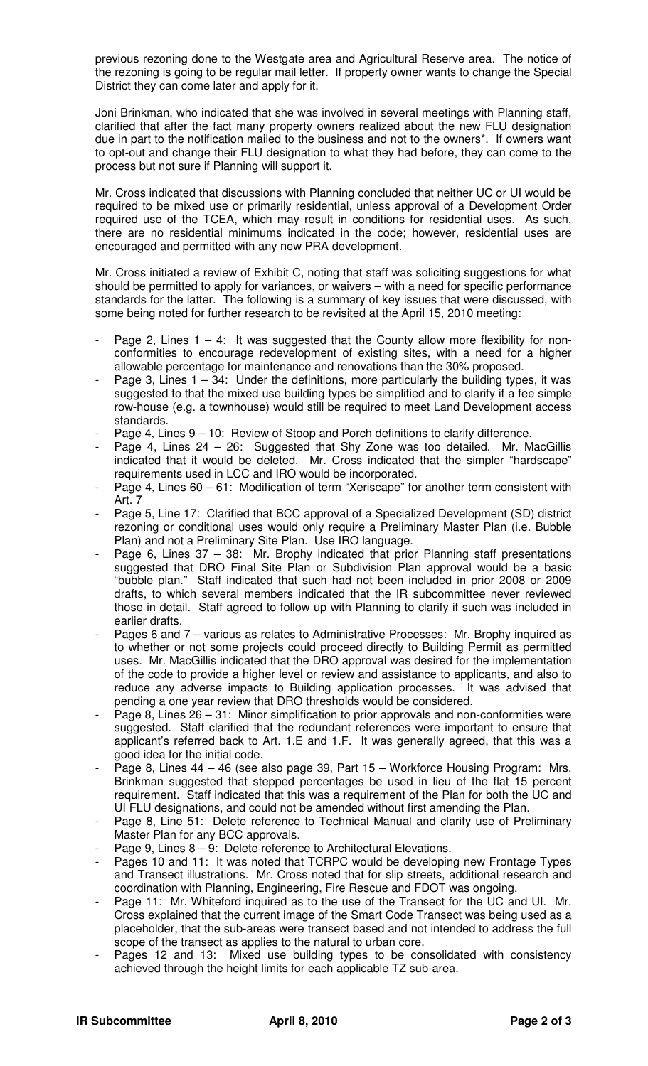previous rezoning done to the Westgate area and Agricultural Reserve area. The notice of the rezoning is going to be regular mail letter. If property owner wants to change the Special District they can come later and apply for it.

Joni Brinkman, who indicated that she was involved in several meetings with Planning staff, clarified that after the fact many property owners realized about the new FLU designation due in part to the notification mailed to the business and not to the owners\*. If owners want to opt-out and change their FLU designation to what they had before, they can come to the process but not sure if Planning will support it.

Mr. Cross indicated that discussions with Planning concluded that neither UC or UI would be required to be mixed use or primarily residential, unless approval of a Development Order required use of the TCEA, which may result in conditions for residential uses. As such, there are no residential minimums indicated in the code; however, residential uses are encouraged and permitted with any new PRA development.

Mr. Cross initiated a review of Exhibit C, noting that staff was soliciting suggestions for what should be permitted to apply for variances, or waivers – with a need for specific performance standards for the latter. The following is a summary of key issues that were discussed, with some being noted for further research to be revisited at the April 15, 2010 meeting:

- Page 2, Lines  $1 4$ : It was suggested that the County allow more flexibility for nonconformities to encourage redevelopment of existing sites, with a need for a higher allowable percentage for maintenance and renovations than the 30% proposed.
- Page 3, Lines  $1 34$ : Under the definitions, more particularly the building types, it was suggested to that the mixed use building types be simplified and to clarify if a fee simple row-house (e.g. a townhouse) would still be required to meet Land Development access standards.
- Page 4, Lines  $9 10$ : Review of Stoop and Porch definitions to clarify difference.
- Page 4, Lines 24 26: Suggested that Shy Zone was too detailed. Mr. MacGillis indicated that it would be deleted. Mr. Cross indicated that the simpler "hardscape" requirements used in LCC and IRO would be incorporated.
- Page 4, Lines 60 61: Modification of term "Xeriscape" for another term consistent with Art. 7
- Page 5, Line 17: Clarified that BCC approval of a Specialized Development (SD) district rezoning or conditional uses would only require a Preliminary Master Plan (i.e. Bubble Plan) and not a Preliminary Site Plan. Use IRO language.
- Page 6, Lines 37 38: Mr. Brophy indicated that prior Planning staff presentations suggested that DRO Final Site Plan or Subdivision Plan approval would be a basic "bubble plan." Staff indicated that such had not been included in prior 2008 or 2009 drafts, to which several members indicated that the IR subcommittee never reviewed those in detail. Staff agreed to follow up with Planning to clarify if such was included in earlier drafts.
- Pages 6 and 7 various as relates to Administrative Processes: Mr. Brophy inquired as to whether or not some projects could proceed directly to Building Permit as permitted uses. Mr. MacGillis indicated that the DRO approval was desired for the implementation of the code to provide a higher level or review and assistance to applicants, and also to reduce any adverse impacts to Building application processes. It was advised that pending a one year review that DRO thresholds would be considered.
- Page 8, Lines 26 31: Minor simplification to prior approvals and non-conformities were suggested. Staff clarified that the redundant references were important to ensure that applicant's referred back to Art. 1.E and 1.F. It was generally agreed, that this was a good idea for the initial code.
- Page 8, Lines 44 46 (see also page 39, Part 15 Workforce Housing Program: Mrs. Brinkman suggested that stepped percentages be used in lieu of the flat 15 percent requirement. Staff indicated that this was a requirement of the Plan for both the UC and UI FLU designations, and could not be amended without first amending the Plan.
- Page 8, Line 51: Delete reference to Technical Manual and clarify use of Preliminary Master Plan for any BCC approvals.
- Page 9, Lines  $8 9$ : Delete reference to Architectural Elevations.
- Pages 10 and 11: It was noted that TCRPC would be developing new Frontage Types and Transect illustrations. Mr. Cross noted that for slip streets, additional research and coordination with Planning, Engineering, Fire Rescue and FDOT was ongoing.
- Page 11: Mr. Whiteford inquired as to the use of the Transect for the UC and UI. Mr. Cross explained that the current image of the Smart Code Transect was being used as a placeholder, that the sub-areas were transect based and not intended to address the full scope of the transect as applies to the natural to urban core.
- Pages 12 and 13: Mixed use building types to be consolidated with consistency achieved through the height limits for each applicable TZ sub-area.